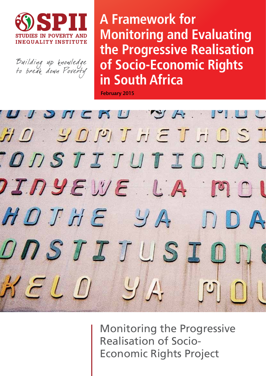

Building up knowledge<br>to break down Poverty

**A Framework for Monitoring and Evaluating the Progressive Realisation of Socio-Economic Rights in South Africa**

February 2015



Monitoring the Progressive Realisation of Socio-Economic Rights Project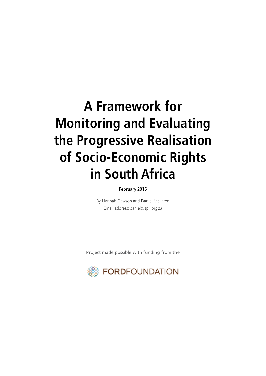## **A Framework for Monitoring and Evaluating the Progressive Realisation of Socio-Economic Rights in South Africa**

#### February 2015

By Hannah Dawson and Daniel McLaren Email address: daniel@spii.org.za

Project made possible with funding from the

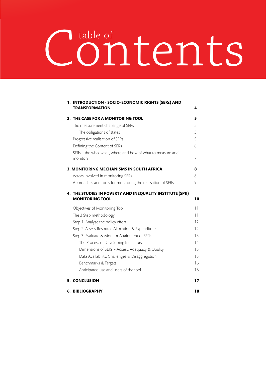# Contents table of

|  | 1. INTRODUCTION - SOCIO-ECONOMIC RIGHTS (SERs) AND<br><b>TRANSFORMATION</b>         | 4  |
|--|-------------------------------------------------------------------------------------|----|
|  | 2. THE CASE FOR A MONITORING TOOL                                                   | 5  |
|  | The measurement challenge of SERs                                                   | 5  |
|  | The obligations of states                                                           | 5  |
|  | Progressive realisation of SERs                                                     | 5  |
|  | Defining the Content of SERs                                                        | 6  |
|  | SERs - the who, what, where and how of what to measure and<br>monitor?              | 7  |
|  | <b>3. MONITORING MECHANISMS IN SOUTH AFRICA</b>                                     | 8  |
|  | Actors involved in monitoring SERs                                                  | 8  |
|  | Approaches and tools for monitoring the realisation of SERs                         | 9  |
|  | 4. THE STUDIES IN POVERTY AND INEQUALITY INSTITUTE (SPII)<br><b>MONITORING TOOL</b> | 10 |
|  | Objectives of Monitoring Tool                                                       | 11 |
|  | The 3 Step methodology                                                              | 11 |
|  | Step 1: Analyse the policy effort                                                   | 12 |
|  | Step 2: Assess Resource Allocation & Expenditure                                    | 12 |
|  | Step 3: Evaluate & Monitor Attainment of SERs                                       | 13 |
|  | The Process of Developing Indicators                                                | 14 |
|  | Dimensions of SERs - Access, Adequacy & Quality                                     | 15 |
|  | Data Availability, Challenges & Disaggregation                                      | 15 |
|  | Benchmarks & Targets                                                                | 16 |
|  | Anticipated use and users of the tool                                               | 16 |
|  | 5. CONCLUSION                                                                       | 17 |
|  | 6. BIBLIOGRAPHY                                                                     | 18 |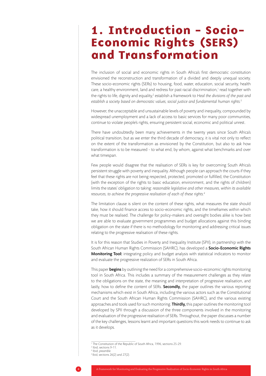### 1. Introduction - Socio-Economic Rights (SERS) and Transformation

The inclusion of social and economic rights in South Africa's first democratic constitution envisioned the reconstruction and transformation of a divided and deeply unequal society. These socio-economic rights (SERs) to housing, food, water, education, social security, health care, a healthy environment, land and redress for past racial discrimination, $1$  read together with the rights to life, dignity and equality,<sup>2</sup> establish a framework to Heal the divisions of the past and *establish a society based on democratic values, social justice and fundamental human rights.3*

However, the unacceptable and unsustainable levels of poverty and inequality, compounded by widespread unemployment and a lack of access to basic services for many poor communities, continue to violate people's rights, ensuring persistent social, economic and political unrest.

There have undoubtedly been many achievements in the twenty years since South Africa's political transition, but as we enter the third decade of democracy, it is vital not only to reflect on the extent of the transformation as envisioned by the Constitution, but also to ask how transformation is to be measured - to what end, by whom, against what benchmarks and over what timespan.

Few people would disagree that the realisation of SERs is key for overcoming South Africa's persistent struggle with poverty and inequality. Although people can approach the courts if they feel that these rights are not being respected, protected, promoted or fulfilled, the Constitution (with the exception of the rights to basic education, environment, and the rights of children) limits the states' obligation to taking: *reasonable legislative and other measures, within its available resources, to achieve the progressive realisation of each of these rights.4*

The limitation clause is silent on the content of these rights, what measures the state should take, how it should finance access to socio-economic rights, and the timeframes within which they must be realised. The challenge for policy-makers and oversight bodies alike is how best we are able to evaluate government programmes and budget allocations against this binding obligation on the state if there is no methodology for monitoring and addressing critical issues relating to the progressive realisation of these rights.

It is for this reason that Studies in Poverty and Inequality Institute (SPII), in partnership with the South African Human Rights Commission (SAHRC), has developed a **Socio-Economic Rights Monitoring Tool:** integrating policy and budget analysis with statistical indicators to monitor and evaluate the progressive realization of SERs in South Africa.

This paper **begins** by outlining the need for a comprehensive socio-economic rights monitoring tool in South Africa. This includes a summary of the measurement challenges as they relate to the obligations on the state, the meaning and interpretation of progressive realisation, and lastly, how to define the content of SERs. **Secondly**, the paper outlines the various reporting mechanisms which exist in South Africa, including the various actors such as the Constitutional Court and the South African Human Rights Commission (SAHRC), and the various existing approaches and tools used for such monitoring. Thirdly, this paper outlines the monitoring tool developed by SPII through a discussion of the three components involved in the monitoring and evaluation of the progressive realisation of SERs. Throughout, the paper discusses a number of the key challenges, lessons learnt and important questions this work needs to continue to ask as it develops.

<sup>1</sup> The Constitution of the Republic of South Africa, 1996, sections 25-29.

<sup>2</sup> Ibid, sections 9-11. 3 Ibid, *preamble.*

 $4$  Ibid, sections 26(2) and 27(2).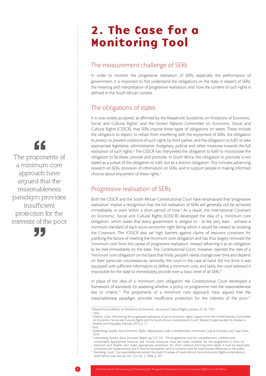### 2. The Case for a Monitoring Tool

#### The measurement challenge of SERs

In order to monitor the progressive realisation of SERs, especially the performance of government, it is important to first understand the obligations on the state in respect of SERs; the meaning and interpretation of progressive realisation; and, how the content of such rights is defined in the South African context.

#### The obligations of states

It is now widely accepted, as affirmed by the Maastricht Guidelines on Violations of Economic, Social and Cultural Rights<sup>5</sup> and the United Nations Committee on Economic, Social and Cultural Rights (CESCR), that SERs impose three types of obligations on states. These include the obligation to *respect*, to refrain from interfering with the enjoyment of SERs; the obligation to *protect*, to prevent violations of such rights by third parties; and the obligation to *fulfil*, to take appropriate legislative, administrative, budgetary, judicial and other measures towards the full realisation of such rights.<sup>6</sup> The CESCR has interpreted the obligation to fulfil to incorporate the obligation to facilitate, provide and promote. In South Africa, the obligation to promote is not stated as a subset of the obligation to fulfil, but as a distinct obligation. This includes advancing research on SERs, provision of information on SERs, and to support people in making informed choices about enjoyment of these rights.7

#### Progressive realisation of SERs

Both the CESCR and the South African Constitutional Court have emphasised that 'progressive realisation' implies a recognition that the full realisation of SERs will generally not be achieved immediately or even within a short period of time.<sup>8</sup> As a result, the International Covenant on Economic, Social and Cultural Rights (ICESCR) developed the idea of a 'minimum core obligation', which states that every government is obliged to - at the very least - achieve a minimum standard of each socio-economic right failing which it would be viewed as violating the Covenant. The ICESCR also set high barriers against claims of resource constraint for justifying the failure of meeting the minimum core obligation and has thus largely removed the 'minimum core' from the caveat of progressive realisation, instead reframing it as an obligation to be met immediately by the state. The Constitutional Court, however, rejected the idea of a 'minimum core obligation' on the basis that firstly, people's needs change over time and depend on their particular circumstances, secondly, the court in the case at hand did not think it was equipped with sufficient information to define a minimum core, and lastly, the court believed it impossible for the state to immediately provide even a basic level of all SERs.<sup>9</sup>

In place of the idea of a 'minimum core obligation' the Constitutional Court developed a framework of standards for assessing whether a policy or programme met the reasonableness test or criteria.<sup>10</sup> The proponents of a minimum core approach have argued that the reasonableness paradigm provides insufficient protection for the interests of the poor.<sup>11</sup>

The proponents of a minimum core approach have argued that the reasonableness paradigm provides insufficient protection for the interests of the poor



<sup>&</sup>lt;sup>5</sup> Maastricht Guidelines on Violations of Economic, Social and Cultural Rights, January 22-26, 1997.

<sup>6</sup> Ibid. <sup>7</sup> Chenwi, Lilian, 'Monitoring the progressive realisation of socio-economic rights: Lessons from the United Nations Committee on Economic, Social and Cultural Rights and the South African Constitutional Court', Research paper written for Studies in Poverty and Inequality Institute, 2010, p. 17.

<sup>8</sup> Ibid.

<sup>9</sup> Liebenberg, Sandra, *Socio-Economic Rights: Adjudication under a transformative constitution.* Juta & Company Ltd, Cape Town, 2010.

<sup>10</sup> Liebenberg, Sandra, *Socio-Economic Rights*, pp.152-153. The programme must be comprehensive, coherent and coordinated; Appropriate financial and human resources must be made available for the programme; It must be balanced and flexible and make appropriate prevention for short, medium and long-term needs; It must be reasonably conceived and implemented; and It must be transparent, and its contents must be made known effectively to the public.'

<sup>&</sup>lt;sup>11</sup> Steinberg, Carol, 'Can reasonableness protect the poor? A review of South Africa's Socio-Economic Rights Jurisprudence', *South African Law Journal*, Vol. 123, No. 2, 2006, p. 267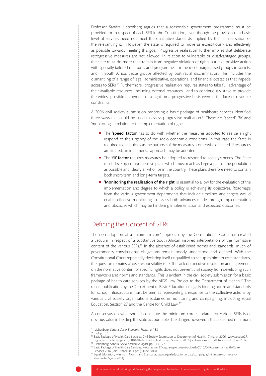Professor Sandra Liebenberg argues that a reasonable government programme must be provided for in respect of each SER in the Constitution, even though the provision of a basic level of services need not meet the qualitative standards implied by the full realisation of the relevant right.<sup>12</sup> However, the state is required to move as expeditiously and effectively as possible towards meeting this goal. 'Progressive realisation' further implies that deliberate retrogressive measures are not allowed. In relation to vulnerable or disadvantaged groups, the state must do more than refrain from negative violation of rights but take positive action with specially tailored measures and programmes for the most marginalised groups in society, and in South Africa, those groups affected by past racial discrimination. This includes the dismantling of a range of legal, administrative, operational and financial obstacles that impede access to SERs.<sup>13</sup> Furthermore, 'progressive realisation' requires states to take full advantage of their available resources, including external resources, and to continuously strive to provide the widest possible enjoyment of a right on a progressive basis even in the face of resource constraints.

A 2006 civil society submission proposing a basic package of healthcare services identified three ways that could be used to assess progressive realisation.14 These are 'speed', 'fit' and 'monitoring' in relation to the implementation of rights:

- The 'speed' factor has to do with whether the measures adopted to realise a right respond to the urgency of the socio-economic conditions. In this case the State is required to act quickly as the purpose of the measures is otherwise defeated. If resources are limited, an incremental approach may be adopted.
- The 'fit' factor requires measures be adopted to respond to society's needs. The State must develop comprehensive plans which must reach as large a part of the population as possible and ideally all who live in the country. These plans therefore need to contain both short-term and long-term targets.
- **Monitoring the realisation of the right'** is essential to allow for the evaluation of the implementation and degree to which a policy is achieving its objectives. Roadmaps from the various government departments that include timelines and targets would enable effective monitoring to assess both advances made through implementation and obstacles which may be hindering implementation and expected outcomes.

#### Defining the Content of SERs

The non-adoption of a 'minimum core' approach by the Constitutional Court has created a vacuum in respect of a substantive South African inspired interpretation of the normative content of the various SERs.<sup>15</sup> In the absence of established norms and standards, much of government's constitutional obligations remain poorly understood and defined. With the Constitutional Court repeatedly declaring itself unqualified to set up minimum core standards, the question remains whose responsibility is it? The lack of executive resolution and agreement on the normative content of specific rights does not prevent civil society from developing such frameworks and norms and standards. This is evident in the civil society submission for a basic package of health care services by the AIDS Law Project to the Department of Health.16 The recent publication by the Department of Basic Education of legally binding norms and standards for school infrastructure must be seen as representing a response to the collective actions by various civil society organisations sustained in monitoring and campaigning, including Equal Education, Section 27 and the Centre for Child Law. 17

A consensus on what should constitute the minimum core standards for various SERs is of obvious value in holding the state accountable. The danger, however, is that a defined minimum

<sup>12</sup> Liebenberg, Sandra, *Socio-Economic Rights*, p. 188

<sup>13</sup> Ibid, p. 187

<sup>14</sup> Basic Package of Health Care Services, Civil Society Submission to Department of Health, 17 March 2006, www.section27. org.za/wp-content/uploads/2010/04/Access-to-Health-Care-Services-2007-Joint-Annexure-1.pdf, (Accessed 5 June 2014) 15 Liebenberg, Sandra, *Socio-Economic Rights*, pp. 173, 177.

<sup>16</sup> Basic Package of Health Care Services, www.section27.org.za/wp-content/uploads/2010/04/Access-to-Health-Care-

Services-2007-Joint-Annexure-1.pdf (5 June 2014). 17 Equal Education, Minimum Norms and Standards, www.equaleducation.org.za/campaigns/minimum-norms-andstandards,( 5 June 2014).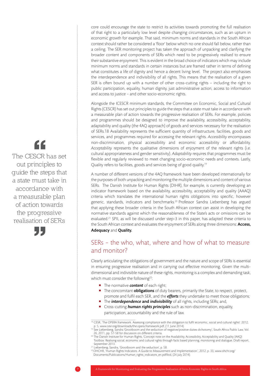core could encourage the state to restrict its activities towards promoting the full realisation of that right to a particularly low level despite changing circumstances, such as an upturn in economic growth for example. That said, minimum norms and standards in the South African context should rather be considered a 'floor' below which no one should fall below, rather than a ceiling. The SER monitoring project has taken the approach of unpacking and clarifying the broader content and components of SERs which need to be progressively realised to ensure their substantive enjoyment. This is evident in the broad choice of indicators which may include minimum norms and standards in certain instances but are framed rather in terms of defining what constitutes a life of dignity and hence a decent living level. The project also emphasises the interdependence and indivisibility of all rights. This means that the realisation of a given SER is often bound up with a number of other cross-cutting rights – including the right to public participation, equality, human dignity, just administrative action, access to information and access to justice – and other socio-economic rights.

Alongside the ICESCR minimum standards, the Committee on Economic, Social and Cultural Rights (CESCR) has set out principles to guide the steps that a state must take in accordance with a measurable plan of action towards the progressive realisation of SERs. For example, policies and programmes should be designed to improve the availability, accessibility, acceptability, adaptability and quality (the 4AQ approach) of goods and services necessary for the realisation of SERs.18 Availability represents the sufficient quantity of infrastructure, facilities, goods and services, and programmes required for accessing the relevant rights. *Accessibility* encompasses non-discrimination, physical accessibility and economic accessibility or affordability. *Acceptability* represents the qualitative dimensions of enjoyment of the relevant rights (i.e. cultural appropriateness and gender sensitivity). *Adaptability* requires that programmes must be flexible and regularly reviewed to meet changing socio-economic needs and contexts. Lastly, Quality refers to facilities, goods and services being of good quality.19

A number of different versions of the 4AQ framework have been developed internationally for the purposes of both unpacking and monitoring the multiple dimensions and content of various SERs. The Danish Institute for Human Rights (DIHR), for example, is currently developing an indicator framework based on the availability, accessibility, acceptability and quality (AAAQ) criteria which translates the international human rights obligations into specific, however generic, standards, indicators and benchmarks.<sup>20</sup> Professor Sandra Liebenberg has argued that applying these broader criteria in the South African context can assist in developing the normative standards against which the reasonableness of the State's acts or omissions can be evaluated.<sup>21</sup> SPII, as will be discussed under step-3 in this paper, has adapted these criteria to the South African context and evaluates the enjoyment of SERs along three dimensions: Access, Adequacy and Quality.

#### SERs – the who, what, where and how of what to measure and monitor?

Clearly articulating the obligations of government and the nature and scope of SERs is essential in ensuring progressive realisation and in carrying out effective monitoring. Given the multidimensional and indivisible nature of these rights, monitoring is a complex and demanding task, which must consider the following<sup>22</sup>:

- The normative **content** of each right;
- The concomitant **obligations** of duty bearers, primarily the State, to respect, protect, promote and fulfil each SER, and the *efforts* they undertake to meet those obligations;
- **The** *interdependence* and *indivisibility* of all rights, including SERs; and,
- **Cross-cutting human rights principles** such as non-discrimination, equality, participation, accountability and the rule of law.

"

The CESCR has set out principles to guide the steps that a state must take in accordance with a measurable plan of action towards the progressive realisation of SERs



<sup>18</sup> CESR, 'The OPERA framework. Assessing compliance with the obligation to fulfil economic, social and cultural rights'. 2012, p. 5, www.cesr.org/downloads/the.opera.framework.pdf, (11 June 2014).

<sup>&</sup>lt;sup>19</sup> See Liebenberg, Sandra 'Grootboom and the seduction of negative/positive duties dichotomy', South Africa Public Law, Vol. 26, 2011, pp. 57-58 for discussion on different criteria.

<sup>20</sup> The Danish Institute for Human Rights, 'Concept note on the Availability, Accessibility, Acceptability and Quality (AAQ) Toolbox: Realising social, economic and cultural rights through facts based planning, monitoring and dialogue, Draft report,

<sup>&</sup>lt;sup>21</sup> Liebenberg, Sandra, 'Grootboom and the seduction', p. 58.

<sup>22</sup> OHCHR, 'Human Rights Indicators. A Guide to Measurement and Implementation.', 2012, p. 33, www.ohchr.org/ Documents/Publications/Human\_rights\_indicators\_en.pdfIbid, (24 July 2014).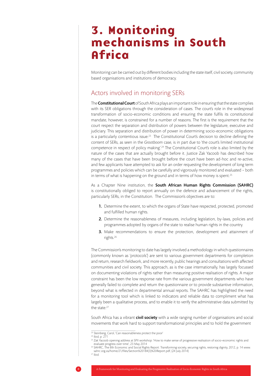### 3. Monitoring mechanisms in South **Africa**

Monitoring can be carried out by different bodies including the state itself, civil society, community based organisations and institutions of democracy.

#### Actors involved in monitoring SERs

The **Constitutional Court** of South Africa plays an important role in ensuring that the state complies with its SER obligations through the consideration of cases. The court's role in the widespread transformation of socio-economic conditions and ensuring the state fulfils its constitutional mandate, however, is constrained for a number of reasons. The first is the requirement that the court respect the separation and distribution of powers between the legislature, executive and judiciary. This separation and distribution of power in determining socio-economic obligations is a particularly contentious issue.<sup>23</sup> The Constitutional Court's decision to decline defining the content of SERs, as seen in the *Grootboom* case, is in part due to 'the court's limited institutional competence in respect of policy making'.24 The Constitutional Court's role is also limited by the nature of the cases that are actually brought before it. Justice Zak Yacoob has described how many of the cases that have been brought before the court have been ad-hoc and re-active, and few applicants have attempted to ask for an order requesting the development of long term programmes and policies which can be carefully and vigorously monitored and evaluated – both in terms of what is happening on the ground and in terms of how money is spent.<sup>25</sup>

As a Chapter Nine institution, the South African Human Rights Commission (SAHRC) is constitutionally obliged to report annually on the defence and advancement of the rights, particularly SERs, in the Constitution. The Commission's objectives are to:

- 1. Determine the extent, to which the organs of State have respected, protected, promoted and fulfilled human rights.
- 2. Determine the reasonableness of measures, including legislation, by-laws, policies and programmes adopted by organs of the state to realise human rights in the country.
- 3. Make recommendations to ensure the protection, development and attainment of rights.26

The Commission's monitoring to date has largely involved a methodology in which questionnaires (commonly known as 'protocols') are sent to various government departments for completion and return, research fieldwork, and more recently, public hearings and consultations with affected communities and civil society. This approach, as is the case internationally, has largely focussed on documenting violations of rights rather than measuring positive realisation of rights. A major constraint has been the low response rate from the various government departments who have generally failed to complete and return the questionnaire or to provide substantive information, beyond what is reflected in departmental annual reports. The SAHRC has highlighted the need for a monitoring tool which is linked to indicators and reliable data to compliment what has largely been a qualitative process, and to enable it to verify the administrative data submitted by the state.<sup>27</sup>

South Africa has a vibrant **civil society** with a wide ranging number of organisations and social movements that work hard to support transformational principles and to hold the government

 $\frac{23}{23}$  Steinberg, Carol, 'Can reasonableness protect the poor'  $^{24}$  Ibid, p. 271

<sup>25</sup> Zak Yacoob opening address at SPII workshop: 'How to make sense of progressive realisation of socio-economic rights and evaluate progress over time', 23 May 2014<br><sup>26</sup> SAHRC, The 8th Economic and Social Rights Report: Transforming society, securing rights, restoring dignity, 2012, p. 14 www.

sahrc.org.za/home/21/files/Section%20184(3)%20Report.pdf, (24 July 2014) <sup>27</sup> Ibid.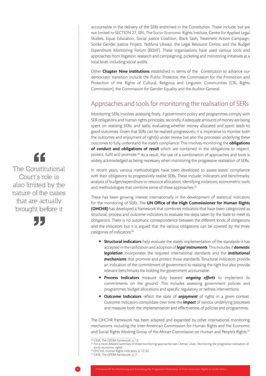accountable in the delivery of the SERs enshrined in the Constitution. These include, but are not limited to SECTION 27, SPII, The Socio-Economic Rights Institute, Centre for Applied Legal Studies, Equal Education, Social Justice Coalition, Black Sash, Treatment Action Campaign, Sonke Gender Justice Project, Ndifuna Ukwazi, the Legal Resource Centre, and the Budget Expenditure Monitoring Forum (BEMF). These organisations have used various tools and approaches from litigation, research and campaigning, picketing and monitoring initiatives at a local level, including social audits.

Other Chapter Nine institutions established in terms of the Constitution to advance our democratic transition include the Public Protector, the Commission for the Promotion and Protection of the Rights of Cultural, Religious and Linguistic Communities (CRL Rights Commission), the Commission for Gender Equality and the Auditor-General.

#### Approaches and tools for monitoring the realisation of SERs

Monitoring SERs involves assessing firstly, if government policy and programmes comply with SER obligations and human rights principles; secondly, if adequate amounts of money are being spent on realising SERs; and lastly, evaluating whether money allocated and spent leads to good outcomes. Given that SERs can be realised progressively, it is imperative to monitor both the outcomes and enjoyment of right(s) under review but also the processes underlying these outcomes to fully understand the state's compliance. This involves monitoring the **obligations** of *conduct* and obligations of *result* which are contained in the obligations to respect, protect, fulfil and promote.<sup>28</sup> As a result, the use of a combination of approaches and tools is widely acknowledged as being necessary when monitoring the progressive realisation of SERs.

In recent years, various methodologies have been developed to assess states' compliance with their obligations to progressively realise SERs. These include: indicators and benchmarks; analysis of budget/expenditure or resource allocation; identifying violations; econometric tools and methodologies that combine some of these approaches.<sup>29</sup>

There has been growing interest internationally in the development of statistical indicators for the monitoring of SERs. The UN Office of the High Commissioner for Human Rights (OHCHR) has developed a framework that combines indicators that have been categorized as structural, process and outcome indicators to evaluate the steps taken by the State to meet its obligations. There is no automatic correspondence between the different kinds of obligations and the indicators but it is argued that the various obligations can be covered by the three categories of indicators:<sup>30</sup>

- **Structural indicators** help evaluate the state's implementation of the standards it has accepted in the ratification and adoption of *legal instruments*. This includes if *domestic legislation* incorporates the required international standards and the *institutional mechanisms* that promote and protect those standards. Structural indicators provide an indication of the commitment of government to realising the right but also provide relevant benchmarks for holding the government accountable.
- **Process Indicators** measure duty bearers' **ongoing efforts** to implement its commitments on the ground. This includes assessing government policies and programmes, budget allocations and specific regulatory or redress interventions.
- Outcome Indicators reflect the state of *enjoyment* of rights in a given context. Outcome indicators consolidate over time the *impact* of various underlying processes and measure both the implementation and effectiveness of policies and programmes.

The OHCHR framework has been adapted and expanded by other international monitoring mechanisms including the Inter-American Commission for Human Rights and the Economic and Social Rights Working Group of the African Commission on Human and People's Rights.<sup>31</sup>

" The Constitutional Court's role is also limited by the nature of the cases that are actually brought before it



<sup>&</sup>lt;sup>28</sup> CESR, The OPERA framework, p. 13

<sup>29</sup> For a more detailed summary of these monitoring approaches see Chenwi, Lilian, 'Monitoring the progressive realisation of socio-economic rights'. 30 OHCHR, Human Rights Indicators, p. 32-42.

<sup>&</sup>lt;sup>31</sup> CESR, The OPERA framework, p. 7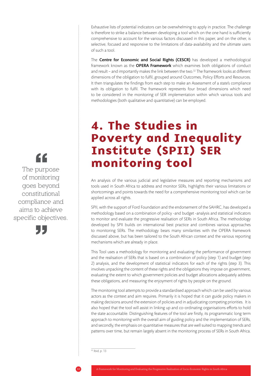Exhaustive lists of potential indicators can be overwhelming to apply in practice. The challenge is therefore to strike a balance between developing a tool which on the one hand is sufficiently comprehensive to account for the various factors discussed in this paper, and on the other, is selective, focused and responsive to the limitations of data-availability and the ultimate users of such a tool.

The **Centre for Economic and Social Rights (CESCR)** has developed a methodological framework known as the **OPERA Framework** which examines both obligations of conduct and result - and importantly makes the link between the two.<sup>32</sup> The framework looks at different dimensions of the obligation to fulfil, grouped around Outcomes, Policy Efforts and Resources. It then triangulates the findings from each step to make an Assessment of a state's compliance with its obligation to fulfil. The framework represents four broad dimensions which need to be considered in the monitoring of SER implementation within which various tools and methodologies (both qualitative and quantitative) can be employed.

### 4. The Studies in Poverty and Inequality Institute (SPII) SER monitoring tool

An analysis of the various judicial and legislative measures and reporting mechanisms and tools used in South Africa to address and monitor SERs, highlights their various limitations or shortcomings and points towards the need for a comprehensive monitoring tool which can be applied across all rights.

SPII, with the support of Ford Foundation and the endorsement of the SAHRC, has developed a methodology based on a combination of policy -and budget -analysis and statistical indicators to monitor and evaluate the progressive realisation of SERs in South Africa. The methodology developed by SPII builds on international best practice and combines various approaches to monitoring SERs. The methodology bears many similarities with the OPERA framework discussed above, but has been tailored to the South African context and the various reporting mechanisms which are already in place.

This Tool uses a methodology for monitoring and evaluating the performance of government and the realisation of SERs that is based on a combination of policy (step 1) and budget (step 2) analysis, and the development of statistical indicators for each of the rights (step 3). This involves unpacking the content of these rights and the obligations they impose on government, evaluating the extent to which government policies and budget allocations adequately address these obligations, and measuring the enjoyment of rights by people on the ground.

The monitoring tool attempts to provide a standardised approach which can be used by various actors as the context and aim requires. Primarily it is hoped that it can guide policy makers in making decisions around the extension of policies and in adjudicating competing priorities. It is also hoped that the tool will assist in linking up and co-ordinating organisations efforts to hold the state accountable. Distinguishing features of the tool are firstly, its programmatic long term approach to monitoring with the overall aim of guiding policy and the implementation of SERs, and secondly, the emphasis on quantitative measures that are well suited to mapping trends and patterns over time, but remain largely absent in the monitoring process of SERs in South Africa.

 $32$  Ibid, p. 13

" The purpose of monitoring goes beyond constitutional compliance and aims to achieve specific objectives.

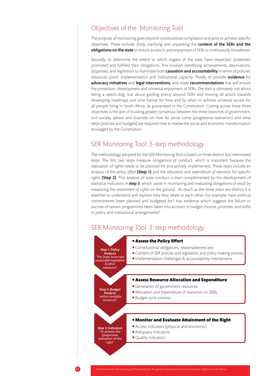#### Objectives of the Monitoring Tool

The purpose of monitoring goes beyond constitutional compliance and aims to achieve specific objectives. These include, *firstly,* clarifying and unpacking the content of the SERs and the obligations on the state to ensure access to and enjoyment of SERs is continuously broadened.

*Secondly,* to determine the extent to which organs of the state have respected, protected, promoted and fulfilled their obligations. This involves identifying achievements, deprivations, disparities, and regression to illuminate both **causation and accountability** in terms of policies, resources spent, implementation and institutional capacity. *Thirdly,* to provide evidence for advocacy initiatives and legal interventions, and make recommendations that will ensure the protection, development and universal enjoyment of SERs. The tool is ultimately not about being a watch-dog, but about guiding policy around SERs and moving all actors towards developing roadmaps and time frames for how and by when to achieve universal access for all people living in South Africa, as guaranteed in the Constitution. Cutting across these three objectives is the aim of building greater consensus between the three branches of government, civil society, labour and business on how far we've come (progressive realisation) and what steps (policies and budgets) are required now to realise the social and economic transformation envisaged by the Constitution.

#### SER Monitoring Tool: 3-step methodology

The methodology adopted for the SER Monitoring Tool is based on three distinct but interrelated steps. The first two steps measure obligations of conduct, which is important because the realisation of rights needs to be planned for and actively implemented. These steps include an analysis of the *policy effort* (Step 1) and the *allocation and expenditure of resources* for specific rights (Step 2). This analysis of state conduct is then complemented by the development of statistical indicators in step 3, which assist in monitoring and evaluating obligations of *result* by measuring the *attainment of rights* on the ground. As much as the three steps are distinct it is essential to understand and explore how they relate to each other. For example, have political commitments been planned and budgeted for? Has evidence which suggests the failure or success of certain programmes been taken into account in budget choices, priorities, and shifts in policy and institutional arrangements?

#### SER Monitoring Tool: 3-step methodology

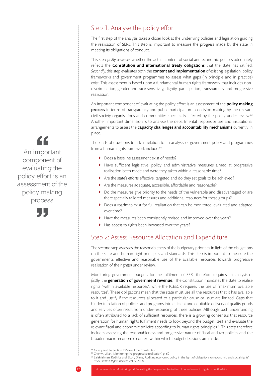#### Step 1: Analyse the policy effort

The first step of the analysis takes a closer look at the underlying policies and legislation guiding the realisation of SERs. This step is important to measure the progress made by the state in meeting its obligations of conduct.

This step *firstly* assesses whether the actual content of social and economic policies adequately reflects the **Constitution and international treaty obligations** that the state has ratified. Secondly, this step evaluates both the **content and implementation** of existing legislation, policy frameworks and government programmes to assess what gaps (in principle and in practice) exist. This assessment is based upon a fundamental human rights framework that includes nondiscrimination, gender and race sensitivity, dignity, participation, transparency and progressive realisation.

An important component of evaluating the policy effort is an assessment of the **policy making** process in terms of transparency and public participation in decision-making by the relevant civil society organisations and communities specifically affected by the policy under review.<sup>33</sup> Another important dimension is to analyse the departmental responsibilities and institutional arrangements to assess the capacity challenges and accountability mechanisms currently in place.

The kinds of questions to ask in relation to an analysis of government policy and programmes from a human rights framework include:<sup>34</sup>

- } Does a baseline assessment exist of needs?
- } Have sufficient legislative, policy and administrative measures aimed at progressive realisation been made and were they taken within a reasonable time?
- } Are the state's efforts effective, targeted and do they set goals to be achieved?
- } Are the measures adequate, accessible, affordable and reasonable?
- } Do the measures give priority to the needs of the vulnerable and disadvantaged or are there specially tailored measures and additional resources for these groups?
- Does a roadmap exist for full realisation that can be monitored, evaluated and adapted over time?
- } Have the measures been consistently revised and improved over the years?
- Has access to rights been increased over the years?

#### Step 2: Assess Resource Allocation and Expenditure

The second step assesses the reasonableness of the budgetary priorities in light of the obligations on the state and human right principles and standards. This step is important to measure the government's effective and reasonable use of the available resources towards progressive realisation of the right(s) under review.

Monitoring government budgets for the fulfilment of SERs therefore requires an analysis of firstly, the **generation of government revenue**. The Constitution mandates the state to realise rights "within available resources", while the ICESCR requires the use of "maximum available resources". These obligations mean that the state must use all the resources that it has available to it and justify if the resources allocated to a particular cause or issue are limited. Gaps that hinder translation of policies and programs into efficient and equitable delivery of quality goods and services often result from under-resourcing of these policies. Although such underfunding is often attributed to a lack of sufficient resources, there is a growing consensus that resource generation for human rights fulfilment needs to look beyond the budget itself and evaluate the relevant fiscal and economic policies according to human rights principles.<sup>35</sup> This step therefore includes assessing the reasonableness and progressive nature of fiscal and tax policies and the broader macro-economic context within which budget decisions are made.

" An important component of evaluating the policy effort is an assessment of the policy making process





 $33$  As required by Section 195 (e) of the Constitution.

<sup>&</sup>lt;sup>34</sup> Chenwi, Lilian, 'Monitoring the progressive realisation', p. 60

<sup>35</sup> Balakrishnan, Radhika and Elson, Diane, 'Auditing economic policy in the light of obligations on economic and social rights', *Essex Human Rights Review*, Vol. 5, 2008.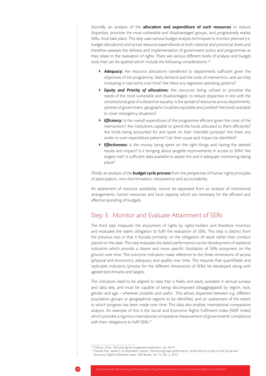Secondly, an analysis of the **allocation and expenditure of such resources** to reduce disparities, prioritise the most vulnerable and disadvantaged groups, and progressively realise SERs, must take place. This step uses various budget analysis techniques to monitor *planned* (i.e. budget allocations) and actual resource expenditures at both national and provincial levels and therefore assesses the delivery and implementation of government policy and programmes as they relate to the realisation of rights. There are various different levels of analysis and budget tools that can be applied which include the following considerations: 36

- **Adequacy:** Are resource allocations transferred to departments sufficient given the objectives of the programme, likely demand and the costs of intervention, and are they increasing in real terms over time? Are there any regressive spending patterns?
- } *Equity and Priority of allocations:* Are resources being utilised to prioritise the needs of the most vulnerable and disadvantaged, to reduce disparities in line with the constitutional goal of substantive equality. Is the spread of resources across departments, spheres of government, geographic localities equitable and justified? Are funds available to cover emergency situations?
- *Efficiency:* Is the overall expenditure of the programme efficient given the costs of the intervention? Are institutions capable to spend the funds allocated to them efficiently? Are funds being accounted for and spent on their intended purpose? Are there any under or over-expenditure patterns? Can their cause and impact be identified?
- **Effectiveness:** Is the money being spent on the right things and having the desired results and impact? Is it bringing about tangible improvements in access to SERs? Are targets met? Is sufficient data available to assess this and it adequate monitoring taking place?

*Thirdly,* an analysis of the budget cycle process from the perspective of human rights principles of participation, non-discrimination, transparency and accountability.

An assessment of resource availability cannot be separated from an analysis of institutional arrangements, human resources and local capacity which are necessary for the efficient and effective spending of budgets.

#### Step 3: Monitor and Evaluate Attainment of SERs

The third step measures the enjoyment of rights by rights-holders and therefore monitors and evaluates the state's obligation to fulfil the realisation of SERs. This step is distinct from the previous two in that it focuses primarily on the obligation of result rather than conduct placed on the state. This step evaluates the state's performance via the development of statistical indicators which provide a clearer and more specific illustration of SERs enjoyment on the ground over time. The outcome indicators make reference to the three dimensions of access (physical and economic), adequacy and quality over time. This requires that quantifiable and replicable indicators (proxies for the different dimensions of SERs) be developed along with agreed benchmarks and targets.

The indicators need to be aligned to data that is freely and easily available in annual surveys and data sets, and must be capable of being decomposed (disaggregated) by region, race, gender and age – wherever possible and useful. This allows disparities between e.g. different population groups or geographical regions to be identified, and an assessment of the extent to which progress has been made over time. This data also enables international comparative analysis. An example of this is the Social and Economic Rights Fulfilment Index (SERF Index) which provides a rigorous international comparative measurement of governments' compliance with their obligations to fulfil SERs.<sup>37</sup>

<sup>36</sup> Chenwi, Lilian, 'Monitoring the progressive realisation', pp. 60-61

<sup>&</sup>lt;sup>37</sup> Fukuda-Parr, Sakiko S. & Greenstein, Joshua, 'Monitoring state performance. South Africa's scores on the Social and Economic Rights Fulfilment Index', *ESR Review*, Vol. 13. No. 2, 2012.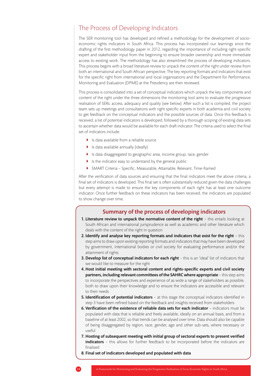#### The Process of Developing Indicators

The SER monitoring tool has developed and refined a methodology for the development of socioeconomic rights indicators in South Africa. This process has incorporated our learnings since the drafting of the first methodology paper in 2012, regarding the importance of including right-specific expert and stakeholder input from the beginning to ensure broader ownership and more immediate access to existing work. The methodology has also streamlined the process of developing indicators. This process begins with a broad literature review to unpack the content of the right under review from both an international and South African perspective. The key reporting formats and indicators that exist for the specific right from international and local organisations and the Department for Performance, Monitoring and Evaluation (DPME) at the Presidency are then reviewed.

This process is consolidated into a set of conceptual indicators which unpack the key components and content of the right under the three dimensions the monitoring tool aims to evaluate the progressive realisation of SERs: access, adequacy and quality (see below). After such a list is compiled, the project team sets up meetings and consultations with right specific experts in both academia and civil society to get feedback on the conceptual indicators and the possible sources of data. Once this feedback is received, a list of potential indicators is developed, followed by a thorough scoping of existing data sets to ascertain whether data would be available for each draft indicator. The criteria used to select the final set of indicators include:

- ▶ Is data available from a reliable source
- $\blacktriangleright$  Is data available annually (ideally)
- } Is data disaggregated to geographic area, income group, race, gender
- } Is the indicator easy to understand by the general public
- } SMART Criteria Specific, Measurable, Attainable, Relevant, Time-framed

After the verification of data sources and ensuring that the final indicators meet the above criteria, a final set of indicators is developed. This final set is often substantially reduced given the data challenges but every attempt is made to ensure the key components of each right has at least one outcome indicator. Once further feedback on these indicators has been received, the indicators are populated to show change over time.

#### Summary of the process of developing indicators

- 1. Literature review to unpack the normative content of the right  $-$  this entails looking at South African and international jurisprudence as well as academic and other literature which deals with the content of the right in question
- 2. Identify and analyse key reporting formats and indicators that exist for the right  $-$  this step aims to draw upon existing reporting formats and indicators that may have been developed by government, international bodies or civil society for evaluating performance and/or the attainment of rights
- 3. Develop list of conceptual indicators for each right this is an 'ideal' list of indicators that we would like to measure for the right
- 4. Host initial meeting with sectoral content and rights-specific experts and civil society partners, including relevant committees of the SAHRC where appropriate – this step aims to incorporate the perspectives and experience of as wide a range of stakeholders as possible, both to draw upon their knowledge and to ensure the indicators are accessible and relevant to their needs
- 5. Identification of potential indicators at this stage the conceptual indicators identified in step 3 have been refined based on the feedback and insights received from stakeholders
- 6. Verification of the existence of reliable data sets for each indicator indicators must be populated with data that is reliable and freely available, ideally on an annual basis, and from a baseline of at least 2002, so that trends can be analysed over time. Data should also be capable of being disaggregated by region, race, gender, age and other sub-sets, where necessary or useful
- 7. Hosting of subsequent meeting with initial group of sectoral experts to present verified indicators - this allows for further feedback to be incorporated before the indicators are finalised
- 8. Final set of indicators developed and populated with data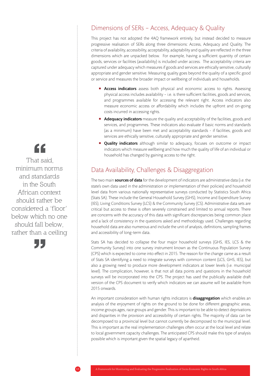#### Dimensions of SERs – Access, Adequacy & Quality

This project has not adopted the 4AQ framework entirely, but instead decided to measure progressive realisation of SERs along three dimensions: Access, Adequacy and Quality. The criteria of availability, accessibility, acceptability, adaptability and quality are reflected in the three dimensions which are unpacked below. For example, having a sufficient quantity of certain goods, services or facilities (availability) is included under access. The acceptability criteria are captured under adequacy which measures if goods and services are ethically sensitive, culturally appropriate and gender sensitive. Measuring quality goes beyond the quality of a specific good or service and measures the broader impact or wellbeing of individuals and households.

- **Access indicators** assess both physical and economic access to rights. Assessing physical access includes availability – i.e. is there sufficient facilities, goods and services, and programmes available for accessing the relevant right. Access indicators also measure economic access or affordability which includes the upfront and on-going costs incurred in accessing rights.
- **Adequacy indicators** measure the quality and acceptability of the facilities, goods and services, and programmes. These indicators also evaluate if basic norms and standards (as a minimum) have been met and acceptability standards - if facilities, goods and services are ethically sensitive, culturally appropriate and gender sensitive.
- **Quality indicators** although similar to adequacy, focuses on outcome or impact indicators which measure wellbeing and how much the quality of life of an individual or household has changed by gaining access to the right.

#### Data Availability, Challenges & Disaggregation

The two main **sources of data** for the development of indicators are administrative data (i.e. the state's own data used in the administration or implementation of their policies) and household level data from various nationally representative surveys conducted by Statistics South Africa (Stats SA). These include the General Household Survey (GHS), Income and Expenditure Survey (IES), Living Conditions Survey (LCS) & the Community Survey (CS). Administrative data sets are critical but access to these is often severely constrained and limited to annual reports. There are concerns with the accuracy of this data with significant discrepancies being common place and a lack of consistency in the questions asked and methodology used. Challenges regarding household data are also numerous and include the unit of analysis, definitions, sampling frames and accessibility of long-term data.

Stats SA has decided to collapse the four major household surveys (GHS, IES, LCS & the Community Survey) into one survey instrument known as the Continuous Population Survey (CPS) which is expected to come into effect in 2015. The reason for the change came as a result of Stats SA identifying a need to integrate surveys with common content (LCS, GHS, IES), but also a growing need to produce more development indicators at lower levels (i.e. municipal level). The complication, however, is that not all data points and questions in the household surveys will be incorporated into the CPS. The project has used the publically available draft version of the CPS document to verify which indicators we can assume will be available from 2015 onwards.

An important consideration with human rights indicators is **disaggregation** which enables an analysis of the enjoyment of rights on the ground to be done for different geographic areas, income groups ages, race groups and gender. This is important to be able to detect deprivations and disparities in the provision and accessibility of certain rights. The majority of data can be decomposed to a provincial level but cannot currently be decomposed to the municipal level. This is important as the real implementation challenges often occur at the local level and relate to local government capacity challenges. The anticipated CPS should make this type of analysis possible which is important given the spatial legacy of apartheid.

"

 That said, minimum norms and standards in the South African context should rather be considered a 'floor' below which no one should fall below, rather than a ceiling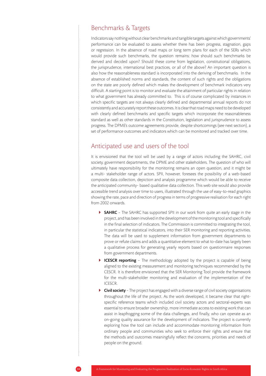#### Benchmarks & Targets

Indicators say nothing without clear benchmarks and tangible targets against which governments' performance can be evaluated to assess whether there has been progress, stagnation, gaps or regression. In the absence of road maps or long term plans for each of the SERs which would provide such benchmarks, the question remains: how should such benchmarks be derived and decided upon? Should these come from legislation, constitutional obligations, the jurisprudence, international best practices, or all of the above? An important question is also how the reasonableness standard is incorporated into the deriving of benchmarks. In the absence of established norms and standards, the content of such rights and the obligations on the state are poorly defined which makes the development of benchmark indicators very difficult. A starting point is to monitor and evaluate the attainment of particular rights in relation to what government has already committed to. This is of course complicated by instances in which specific targets are not always clearly defined and departmental annual reports do not consistently and accurately report these outcomes. It is clear that road maps need to be developed with clearly defined benchmarks and specific targets which incorporate the reasonableness standard as well as other standards in the Constitution, legislation and jurisprudence to assess progress. The DPME's outcome agreements provide, despite shortcomings (see next section), a set of performance outcomes and indicators which can be monitored and tracked over time.

#### Anticipated use and users of the tool

It is envisioned that the tool will be used by a range of actors including the SAHRC, civil society, government departments, the DPME and other stakeholders. The question of who will ultimately have responsibility for the monitoring remains an open question, and it might be a multi- stakeholder range of actors. SPII, however, foresees the possibility of a web-based composite data collection, depiction and analysis programme which would be able to receive the anticipated community- based qualitative data collection. This web site would also provide accessible trend analysis over time to users, illustrated through the use of easy-to-read graphics showing the rate, pace and direction of progress in terms of progressive realisation for each right from 2002 onwards.

- ▶ SAHRC The SAHRC has supported SPII in our work from quite an early stage in the project, and has been involved in the development of the monitoring tool and specifically in the final selection of indicators. The Commission is committed to integrating the tool, in particular the statistical indicators, into their SER monitoring and reporting activities. The data will be used to supplement information from government departments to prove or refute claims and adds a quantitative element to what to-date has largely been a qualitative process for generating yearly reports based on questionnaire responses from government departments.
- **ICESCR reporting** The methodology adopted by the project is capable of being aligned to the existing measurement and monitoring techniques recommended by the CESCR. It is therefore envisioned that the SER Monitoring Tool provide the framework for the multi-stakeholder monitoring and evaluation of the implementation of the ICESCR.
- Civil society The project has engaged with a diverse range of civil society organisations throughout the life of the project. As the work developed, it became clear that rightspecific reference teams which included civil society actors and sectoral-experts was essential to ensure broader ownership, more immediate access to existing work that can assist in leapfrogging some of the data challenges, and finally, who can operate as an on-going quality assurance for the development of indicators. The project is currently exploring how the tool can include and accommodate monitoring information from ordinary people and communities who seek to enforce their rights and ensure that the methods and outcomes meaningfully reflect the concerns, priorities and needs of people on the ground.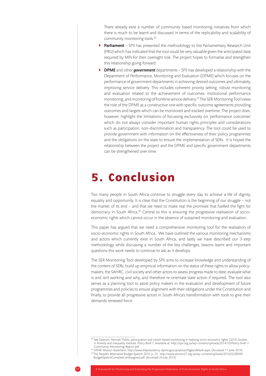There already exist a number of community based monitoring initiatives from which there is much to be learnt and discussed in terms of the replicability and scalability of community monitoring tools.<sup>38</sup>

- Parliament SPII has presented the methodology to the Parliamentary Research Unit (PRU) which has indicated that the tool could be very valuable given the anticipated data required by MPs for their oversight role. The project hopes to formalise and strengthen this relationship going forward.
- } DPME and other *government* departments SPII has developed a relationship with the Department of Performance, Monitoring and Evaluation (DPME) which focuses on the performance of government departments in achieving desired outcomes and ultimately, improving service delivery. This includes coherent priority setting, robust monitoring and evaluation related to the achievement of outcomes, institutional performance monitoring, and monitoring of frontline service delivery.39 The SER Monitoring Tool views the role of the DPME as a constructive one with specific outcome agreements providing outcomes and targets which can be monitored and tracked overtime. The project does, however, highlight the limitations of focussing exclusively on 'performance outcomes' which do not always consider important human rights principles and considerations such as participation, non-discrimination and transparency. The tool could be used to provide government with information on the effectiveness of their policy programmes and the obligations on the state to ensure the implementation of SERs. It is hoped the relationship between the project and the DPME and specific government departments can be strengthened over time.

### 5. Conclusion

Too many people in South Africa continue to struggle every day to achieve a life of dignity, equality and opportunity. It is clear that the Constitution is the beginning of our struggle – not the marker of its end – and that we need to make real the promises that fuelled the fight for democracy in South Africa.<sup>40</sup> Central to this is ensuring the progressive realisation of socioeconomic rights which cannot occur in the absence of sustained monitoring and evaluation.

This paper has argued that we need a comprehensive monitoring tool for the realisation of socio-economic rights in South Africa. We have outlined the various monitoring mechanisms and actors which currently exist in South Africa, and lastly we have described our 3-step methodology while discussing a number of the key challenges, lessons learnt and important questions this work needs to continue to ask as it develops.

The SER Monitoring Tool developed by SPII aims to increase knowledge and understanding of the content of SERs; build up empirical information on the status of these rights to allow policymakers, the SAHRC, civil society and other actors to assess progress made to date; evaluate what is and isn't working and why, and therefore re-orientate state action if required. The tool also serves as a planning tool to assist policy makers in the evaluation and development of future programmes and policies to ensure alignment with their obligations under the Constitution and finally, to provide all progressive actors in South Africa's transformation with tools to give their demands renewed force.

39 DPME Mission Statement, http://www.thepresidency-dpme.gov.za/about/Pages/default.aspx, (Accessed 11 June 2014) 40 The People's Alternative Budget Speech 2014, p. 23, http://www.section27.org.za/wp-content/uploads/2014/02/BEMF-BudgetSpeechComplete-embargoed.pdf, (Accessed 24 July 2014)



<sup>38</sup> See Dawson, Hannah 'Public participation and citizen-based monitoring in realising socio-economic rights' (2014) Studies in Poverty and Inequality Institute, Policy Brief 7. Available at: http://spii.org.za/wp-content/uploads/2014/10/Policy-brief-7- Community-Monitoring-Report.pdf.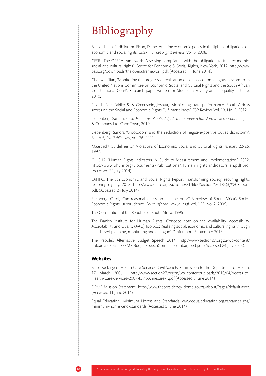### Bibliography

Balakrishnan, Radhika and Elson, Diane, 'Auditing economic policy in the light of obligations on economic and social rights', *Essex Human Rights Review*, Vol. 5, 2008.

CESR, 'The OPERA framework. Assessing compliance with the obligation to fulfil economic, social and cultural rights'. Centre for Economic & Social Rights, New York, 2012, http://www. cesr.org/downloads/the.opera.framework.pdf, (Accessed 11 June 2014).

Chenwi, Lilian, 'Monitoring the progressive realisation of socio-economic rights: Lessons from the United Nations Committee on Economic, Social and Cultural Rights and the South African Constitutional Court', Research paper written for Studies in Poverty and Inequality Institute, 2010.

Fukuda-Parr, Sakiko S. & Greenstein, Joshua, 'Monitoring state performance. South Africa's scores on the Social and Economic Rights Fulfilment Index', ESR Review, Vol. 13. No. 2, 2012.

Liebenberg, Sandra, *Socio-Economic Rights: Adjudication under a transformative constitution*. Juta & Company Ltd, Cape Town, 2010.

Liebenberg, Sandra 'Grootboom and the seduction of negative/positive duties dichotomy', *South Africa Public Law*, Vol. 26, 2011.

Maastricht Guidelines on Violations of Economic, Social and Cultural Rights, January 22-26, 1997.

OHCHR, 'Human Rights Indicators. A Guide to Measurement and Implementation.', 2012, http://www.ohchr.org/Documents/Publications/Human\_rights\_indicators\_en.pdfIbid, (Accessed 24 July 2014).

SAHRC, The 8th Economic and Social Rights Report: Transforming society, securing rights, restoring dignity, 2012, http://www.sahrc.org.za/home/21/files/Section%20184(3)%20Report. pdf, (Accessed 24 July 2014).

Steinberg, Carol, 'Can reasonableness protect the poor? A review of South Africa's Socio-Economic Rights Jurisprudence', *South African Law Journal*, Vol. 123, No. 2, 2006.

The Constitution of the Republic of South Africa, 1996.

The Danish Institute for Human Rights, 'Concept note on the Availability, Accessibility, Acceptability and Quality (AAQ) Toolbox: Realising social, economic and cultural rights through facts based planning, monitoring and dialogue', Draft report, September 2013.

The People's Alternative Budget Speech 2014, http://www.section27.org.za/wp-content/ uploads/2014/02/BEMF-BudgetSpeechComplete-embargoed.pdf, (Accessed 24 July 2014).

#### **Websites**

Basic Package of Health Care Services, Civil Society Submission to the Department of Health, 17 March 2006, http://www.section27.org.za/wp-content/uploads/2010/04/Access-to-Health-Care-Services-2007-Joint-Annexure-1.pdf (Accessed 5 June 2014).

DPME Mission Statement, http://www.thepresidency-dpme.gov.za/about/Pages/default.aspx, (Accessed 11 June 2014).

Equal Education, Minimum Norms and Standards, www.equaleducation.org.za/campaigns/ minimum-norms-and-standards (Accessed 5 June 2014).